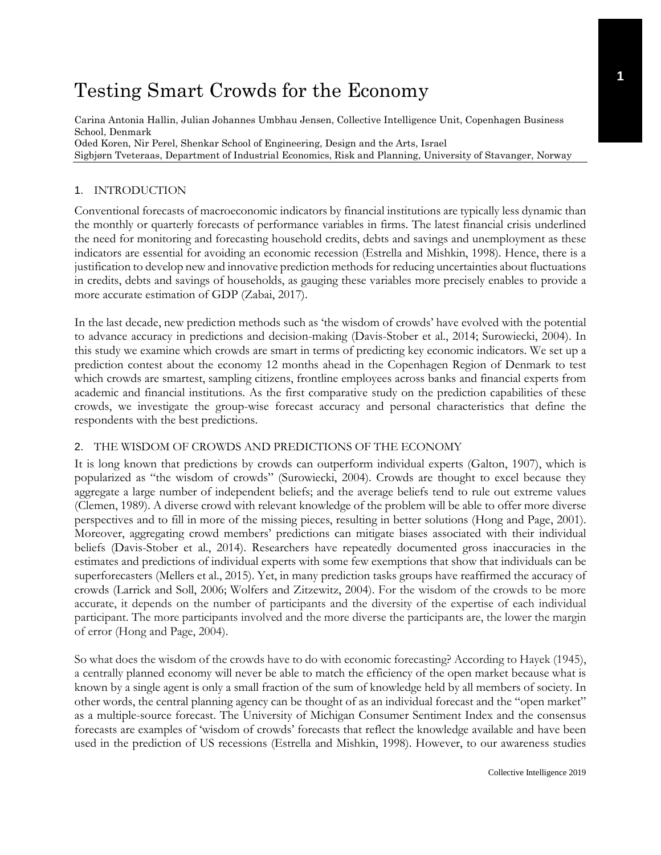# Testing Smart Crowds for the Economy

Carina Antonia Hallin, Julian Johannes Umbhau Jensen, Collective Intelligence Unit, Copenhagen Business School, Denmark Oded Koren, Nir Perel, Shenkar School of Engineering, Design and the Arts, Israel Sigbjørn Tveteraas, Department of Industrial Economics, Risk and Planning, University of Stavanger, Norway

## 1. INTRODUCTION

Conventional forecasts of macroeconomic indicators by financial institutions are typically less dynamic than the monthly or quarterly forecasts of performance variables in firms. The latest financial crisis underlined the need for monitoring and forecasting household credits, debts and savings and unemployment as these indicators are essential for avoiding an economic recession (Estrella and Mishkin, 1998). Hence, there is a justification to develop new and innovative prediction methods for reducing uncertainties about fluctuations in credits, debts and savings of households, as gauging these variables more precisely enables to provide a more accurate estimation of GDP (Zabai, 2017).

In the last decade, new prediction methods such as 'the wisdom of crowds' have evolved with the potential to advance accuracy in predictions and decision-making (Davis-Stober et al., 2014; Surowiecki, 2004). In this study we examine which crowds are smart in terms of predicting key economic indicators. We set up a prediction contest about the economy 12 months ahead in the Copenhagen Region of Denmark to test which crowds are smartest, sampling citizens, frontline employees across banks and financial experts from academic and financial institutions. As the first comparative study on the prediction capabilities of these crowds, we investigate the group-wise forecast accuracy and personal characteristics that define the respondents with the best predictions.

# 2. THE WISDOM OF CROWDS AND PREDICTIONS OF THE ECONOMY

It is long known that predictions by crowds can outperform individual experts (Galton, 1907), which is popularized as "the wisdom of crowds" (Surowiecki, 2004). Crowds are thought to excel because they aggregate a large number of independent beliefs; and the average beliefs tend to rule out extreme values (Clemen, 1989). A diverse crowd with relevant knowledge of the problem will be able to offer more diverse perspectives and to fill in more of the missing pieces, resulting in better solutions (Hong and Page, 2001). Moreover, aggregating crowd members' predictions can mitigate biases associated with their individual beliefs (Davis-Stober et al., 2014). Researchers have repeatedly documented gross inaccuracies in the estimates and predictions of individual experts with some few exemptions that show that individuals can be superforecasters (Mellers et al., 2015). Yet, in many prediction tasks groups have reaffirmed the accuracy of crowds (Larrick and Soll, 2006; Wolfers and Zitzewitz, 2004). For the wisdom of the crowds to be more accurate, it depends on the number of participants and the diversity of the expertise of each individual participant. The more participants involved and the more diverse the participants are, the lower the margin of error (Hong and Page, 2004).

So what does the wisdom of the crowds have to do with economic forecasting? According to Hayek (1945), a centrally planned economy will never be able to match the efficiency of the open market because what is known by a single agent is only a small fraction of the sum of knowledge held by all members of society. In other words, the central planning agency can be thought of as an individual forecast and the "open market" as a multiple-source forecast. The University of Michigan Consumer Sentiment Index and the consensus forecasts are examples of 'wisdom of crowds' forecasts that reflect the knowledge available and have been used in the prediction of US recessions (Estrella and Mishkin, 1998). However, to our awareness studies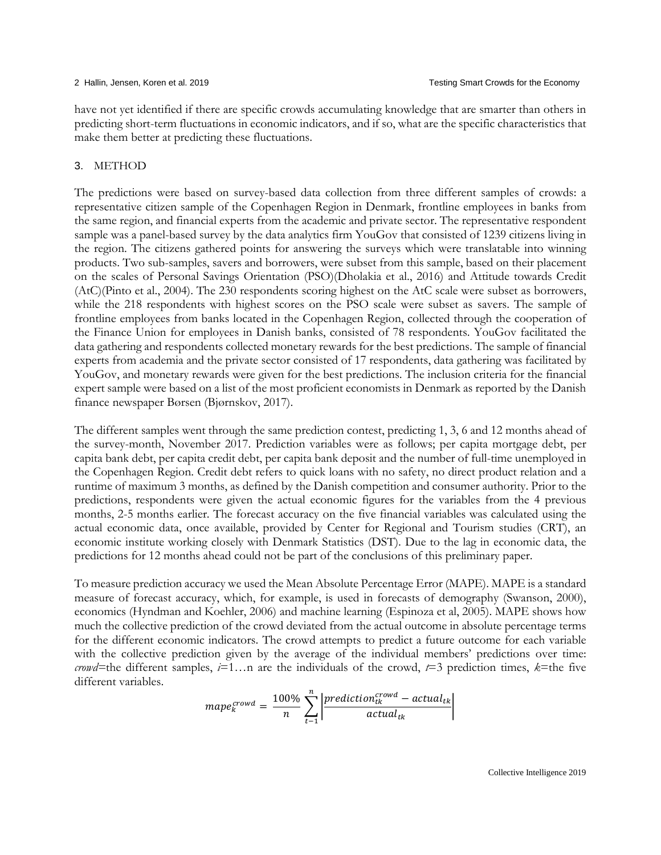have not yet identified if there are specific crowds accumulating knowledge that are smarter than others in predicting short-term fluctuations in economic indicators, and if so, what are the specific characteristics that make them better at predicting these fluctuations.

### 3. METHOD

The predictions were based on survey-based data collection from three different samples of crowds: a representative citizen sample of the Copenhagen Region in Denmark, frontline employees in banks from the same region, and financial experts from the academic and private sector. The representative respondent sample was a panel-based survey by the data analytics firm YouGov that consisted of 1239 citizens living in the region. The citizens gathered points for answering the surveys which were translatable into winning products. Two sub-samples, savers and borrowers, were subset from this sample, based on their placement on the scales of Personal Savings Orientation (PSO)(Dholakia et al., 2016) and Attitude towards Credit (AtC)(Pinto et al., 2004). The 230 respondents scoring highest on the AtC scale were subset as borrowers, while the 218 respondents with highest scores on the PSO scale were subset as savers. The sample of frontline employees from banks located in the Copenhagen Region, collected through the cooperation of the Finance Union for employees in Danish banks, consisted of 78 respondents. YouGov facilitated the data gathering and respondents collected monetary rewards for the best predictions. The sample of financial experts from academia and the private sector consisted of 17 respondents, data gathering was facilitated by YouGov, and monetary rewards were given for the best predictions. The inclusion criteria for the financial expert sample were based on a list of the most proficient economists in Denmark as reported by the Danish finance newspaper Børsen (Bjørnskov, 2017).

The different samples went through the same prediction contest, predicting 1, 3, 6 and 12 months ahead of the survey-month, November 2017. Prediction variables were as follows; per capita mortgage debt, per capita bank debt, per capita credit debt, per capita bank deposit and the number of full-time unemployed in the Copenhagen Region. Credit debt refers to quick loans with no safety, no direct product relation and a runtime of maximum 3 months, as defined by the Danish competition and consumer authority. Prior to the predictions, respondents were given the actual economic figures for the variables from the 4 previous months, 2-5 months earlier. The forecast accuracy on the five financial variables was calculated using the actual economic data, once available, provided by Center for Regional and Tourism studies (CRT), an economic institute working closely with Denmark Statistics (DST). Due to the lag in economic data, the predictions for 12 months ahead could not be part of the conclusions of this preliminary paper.

To measure prediction accuracy we used the Mean Absolute Percentage Error (MAPE). MAPE is a standard measure of forecast accuracy, which, for example, is used in forecasts of demography (Swanson, 2000), economics (Hyndman and Koehler, 2006) and machine learning (Espinoza et al, 2005). MAPE shows how much the collective prediction of the crowd deviated from the actual outcome in absolute percentage terms for the different economic indicators. The crowd attempts to predict a future outcome for each variable with the collective prediction given by the average of the individual members' predictions over time: *crowd*=the different samples,  $i=1...n$  are the individuals of the crowd,  $t=3$  prediction times,  $k=$ the five different variables.

$$
map{e_k^{crowd}} = \frac{100\%}{n} \sum_{t=1}^{n} \left| \frac{prediction_{tk}^{crowd} - actual_{tk}}{actual_{tk}} \right|
$$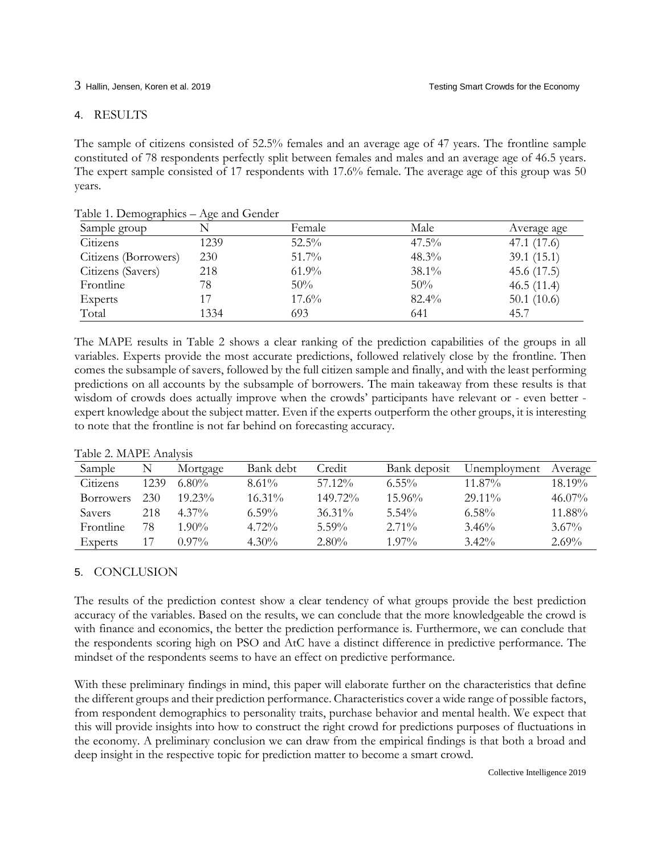# 4. RESULTS

The sample of citizens consisted of 52.5% females and an average age of 47 years. The frontline sample constituted of 78 respondents perfectly split between females and males and an average age of 46.5 years. The expert sample consisted of 17 respondents with 17.6% female. The average age of this group was 50 years.

| Sample group         |      | Female   | Male     | Average age   |  |
|----------------------|------|----------|----------|---------------|--|
| Citizens             | 1239 | $52.5\%$ | $47.5\%$ | 47.1 (17.6)   |  |
| Citizens (Borrowers) | 230  | $51.7\%$ | $48.3\%$ | 39.1(15.1)    |  |
| Citizens (Savers)    | 218  | $61.9\%$ | $38.1\%$ | 45.6(17.5)    |  |
| Frontline            | 78   | 50%      | 50%      | 46.5(11.4)    |  |
| <b>Experts</b>       |      | $17.6\%$ | $82.4\%$ | 50.1 $(10.6)$ |  |
| Total                | 1334 | 693      | 641      | 45.7          |  |

Table 1. Demographics – Age and Gender

The MAPE results in Table 2 shows a clear ranking of the prediction capabilities of the groups in all variables. Experts provide the most accurate predictions, followed relatively close by the frontline. Then comes the subsample of savers, followed by the full citizen sample and finally, and with the least performing predictions on all accounts by the subsample of borrowers. The main takeaway from these results is that wisdom of crowds does actually improve when the crowds' participants have relevant or - even better expert knowledge about the subject matter. Even if the experts outperform the other groups, it is interesting to note that the frontline is not far behind on forecasting accuracy.

| Sample           | N    | Mortgage  | Bank debt | Credit    | Bank deposit | Unemployment | Average   |  |  |
|------------------|------|-----------|-----------|-----------|--------------|--------------|-----------|--|--|
| Citizens         | 1239 | $6.80\%$  | $8.61\%$  | $57.12\%$ | $6.55\%$     | $11.87\%$    | $18.19\%$ |  |  |
| <b>Borrowers</b> | 230  | $19.23\%$ | $16.31\%$ | 149.72%   | $15.96\%$    | $29.11\%$    | $46.07\%$ |  |  |
| <b>Savers</b>    | 218  | $4.37\%$  | $6.59\%$  | $36.31\%$ | $5.54\%$     | $6.58\%$     | $11.88\%$ |  |  |
| <b>Frontline</b> | 78   | $1.90\%$  | $4.72\%$  | $5.59\%$  | $2.71\%$     | 3.46%        | $3.67\%$  |  |  |
| Experts          |      | $0.97\%$  | $4.30\%$  | $2.80\%$  | $1.97\%$     | $3.42\%$     | $2.69\%$  |  |  |

Table 2. MAPE Analysis

# 5. CONCLUSION

The results of the prediction contest show a clear tendency of what groups provide the best prediction accuracy of the variables. Based on the results, we can conclude that the more knowledgeable the crowd is with finance and economics, the better the prediction performance is. Furthermore, we can conclude that the respondents scoring high on PSO and AtC have a distinct difference in predictive performance. The mindset of the respondents seems to have an effect on predictive performance.

With these preliminary findings in mind, this paper will elaborate further on the characteristics that define the different groups and their prediction performance. Characteristics cover a wide range of possible factors, from respondent demographics to personality traits, purchase behavior and mental health. We expect that this will provide insights into how to construct the right crowd for predictions purposes of fluctuations in the economy. A preliminary conclusion we can draw from the empirical findings is that both a broad and deep insight in the respective topic for prediction matter to become a smart crowd.